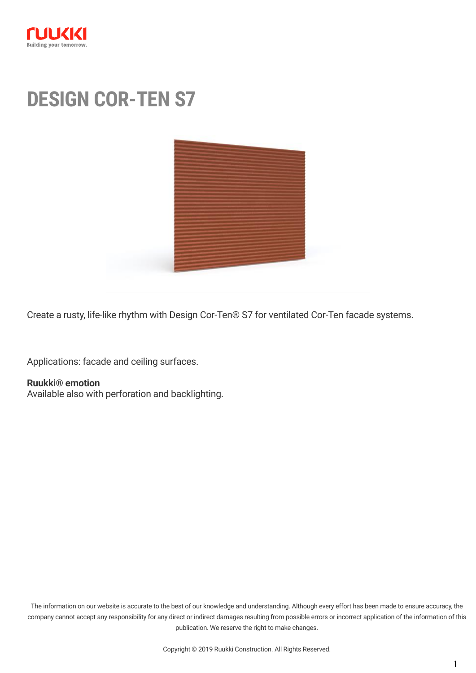

# **DESIGN COR-TEN S7**



Create a rusty, life-like rhythm with Design Cor-Ten® S7 for ventilated Cor-Ten facade systems.

Applications: facade and ceiling surfaces.

#### **Ruukki® emotion**

[Available also with perforation and backlighting.](http://www1.ruukki.com/Construction/Ruukki-facade-systems/Ruukki-emotion)

The information on our website is accurate to the best of our knowledge and understanding. Although every effort has been made to ensure accuracy, the company cannot accept any responsibility for any direct or indirect damages resulting from possible errors or incorrect application of the information of this publication. We reserve the right to make changes.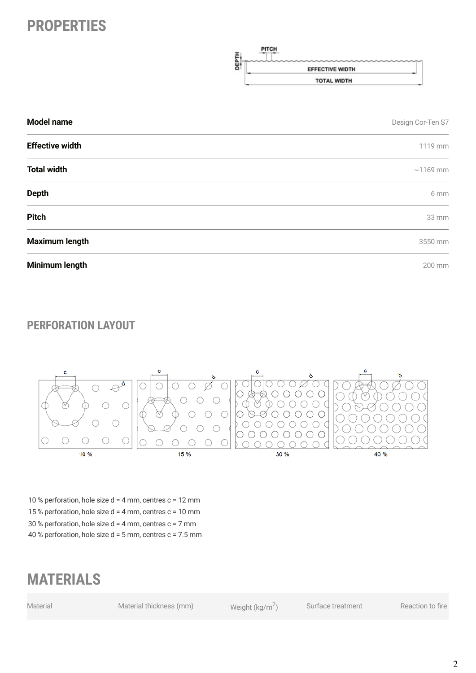## **PROPERTIES**



| <b>Model name</b>                                                 | Design Cor-Ten S7 |  |
|-------------------------------------------------------------------|-------------------|--|
| <b>Effective width</b>                                            | 1119 mm           |  |
| <b>Total width</b>                                                | $\sim$ 1169 mm    |  |
| <b>Depth</b>                                                      | 6 mm              |  |
| <b>Pitch</b>                                                      | 33 mm             |  |
| <b>Maximum length</b>                                             | 3550 mm           |  |
| Minimum length<br>the contract of the contract of the contract of | 200 mm            |  |

#### **PERFORATION LAYOUT**



10 % perforation, hole size  $d = 4$  mm, centres  $c = 12$  mm 15 % perforation, hole size d = 4 mm, centres c = 10 mm 30 % perforation, hole size d = 4 mm, centres c = 7 mm 40 % perforation, hole size d = 5 mm, centres c = 7.5 mm

### **MATERIALS**

Material Material thickness (mm) Weight (kg/m<sup>2</sup>)

Surface treatment Reaction to fire

2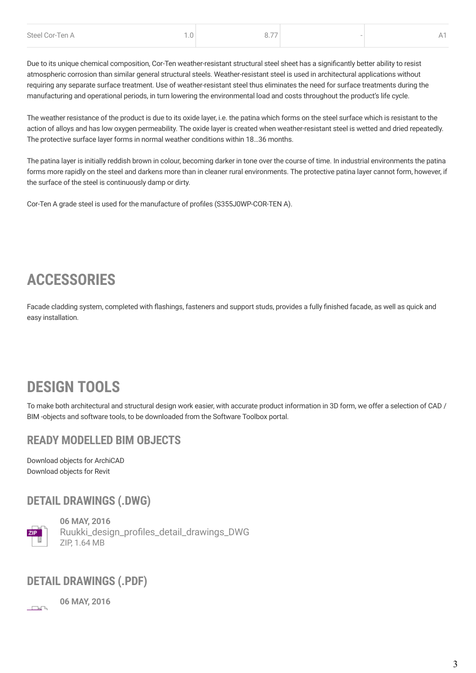| Steel Cor-Ten A | $\overline{\phantom{a}}$ |  |
|-----------------|--------------------------|--|
|                 |                          |  |

Due to its unique chemical composition, Cor-Ten weather-resistant structural steel sheet has a significantly better ability to resist atmospheric corrosion than similar general structural steels. Weather-resistant steel is used in architectural applications without requiring any separate surface treatment. Use of weather-resistant steel thus eliminates the need for surface treatments during the manufacturing and operational periods, in turn lowering the environmental load and costs throughout the product's life cycle.

The weather resistance of the product is due to its oxide layer, i.e. the patina which forms on the steel surface which is resistant to the action of alloys and has low oxygen permeability. The oxide layer is created when weather-resistant steel is wetted and dried repeatedly. The protective surface layer forms in normal weather conditions within 18…36 months.

The patina layer is initially reddish brown in colour, becoming darker in tone over the course of time. In industrial environments the patina forms more rapidly on the steel and darkens more than in cleaner rural environments. The protective patina layer cannot form, however, if the surface of the steel is continuously damp or dirty.

Cor-Ten A grade steel is used for the manufacture of profiles (S355J0WP-COR-TEN A).

# **ACCESSORIES**

Facade cladding system, completed with flashings, fasteners and support studs, provides a fully finished facade, as well as quick and easy installation.

## **DESIGN TOOLS**

To make both architectural and structural design work easier, with accurate product information in 3D form, we offer a selection of CAD / BIM -objects and software tools, to be downloaded from the [Software Toolbox portal](http://software.ruukki.com/).

#### **READY MODELLED BIM OBJECTS**

[Download objects for ArchiCAD](https://software.ruukki.com/PublishedService?file=&pageID=3&action=view&groupID=330&OpenGroups=330) [Download objects for Revit](https://software.ruukki.com/PublishedService?file=&pageID=3&action=view&groupID=336&OpenGroups=336)

#### **DETAIL DRAWINGS (.DWG)**



**06 MAY, 2016** [Ruukki\\_design\\_profiles\\_detail\\_drawings\\_DWG](https://cdn.ruukki.com/docs/default-source/b2b-documents/facades/design-profiles/ruukki_design_profiles_detail_drawings_dwg.zip?sfvrsn=f95cf584_20) ZIP, 1.64 MB

#### **DETAIL DRAWINGS (.PDF)**

 $\Box$ 

**06 MAY, 2016**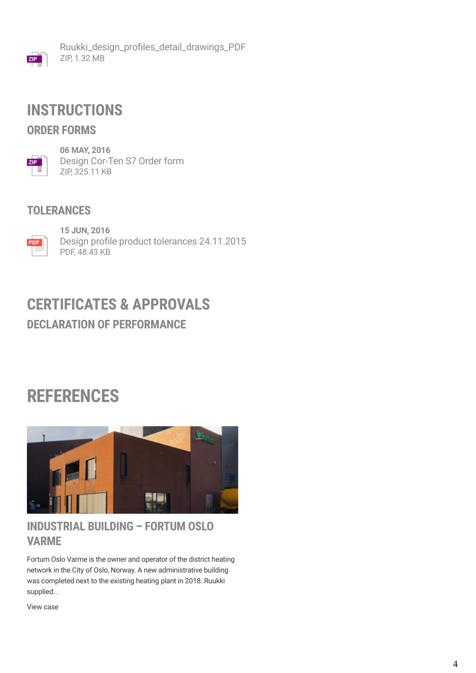

[Ruukki\\_design\\_profiles\\_detail\\_drawings\\_PDF](https://cdn.ruukki.com/docs/default-source/b2b-documents/facades/design-profiles/ruukki_design_profiles_detail_drawings_pdf.zip?sfvrsn=f5cf584_20) ZIP, 1.32 MB

### **INSTRUCTIONS**

#### **ORDER FORMS**



**06 MAY, 2016** [Design Cor-Ten S7 Order form](https://cdn.ruukki.com/docs/default-source/b2b-documents/facades/design-profiles/design-cor-ten-s7-order-form.zip?sfvrsn=b75cf584_22) ZIP, 325.11 KB

#### **TOLERANCES**



**15 JUN, 2016** [Design profile product tolerances 24.11.2015](https://cdn.ruukki.com/docs/default-source/b2b-documents/facades/design-profiles/design-profile-product-tolerances-24-11-2015.pdf?sfvrsn=4ea6dd84_18) PDF, 48.43 KB

### **DECLARATION OF PERFORMANCE CERTIFICATES & APPROVALS**

# **REFERENCES**



#### **INDUSTRIAL BUILDING – FORTUM OSLO VARME**

Fortum Oslo Varme is the owner and operator of the district heating network in the City of Oslo, Norway. A new administrative building was completed next to the existing heating plant in 2018. Ruukki supplied...

[View case](https://www.ruukki.com/b2b/references/reference-details/industrial-building-fortum-oslo-varme)